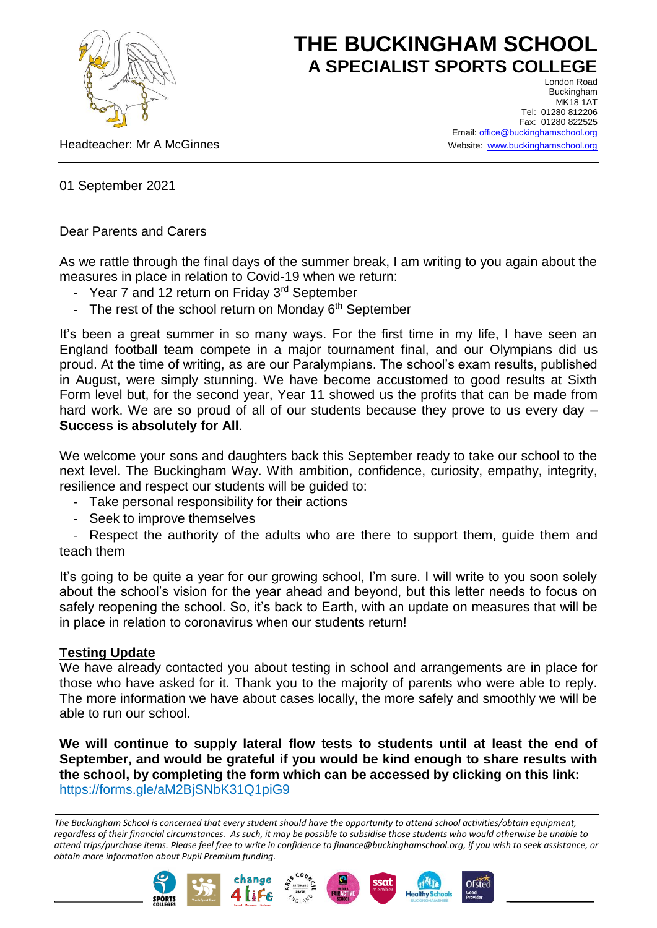

# **THE BUCKINGHAM SCHOOL A SPECIALIST SPORTS COLLEGE**

Headteacher: Mr A McGinnes

London Road Buckingham MK18 1AT Tel: 01280 812206 Fax: 01280 822525 Email[: office@buckinghamschool.org](mailto:office@buckinghamschool.org) Website: [www.buckinghamschool.org](http://www.buckinghamschool.org/)

01 September 2021

Dear Parents and Carers

As we rattle through the final days of the summer break, I am writing to you again about the measures in place in relation to Covid-19 when we return:

- Year 7 and 12 return on Friday 3rd September
- The rest of the school return on Monday  $6<sup>th</sup>$  September

It's been a great summer in so many ways. For the first time in my life, I have seen an England football team compete in a major tournament final, and our Olympians did us proud. At the time of writing, as are our Paralympians. The school's exam results, published in August, were simply stunning. We have become accustomed to good results at Sixth Form level but, for the second year, Year 11 showed us the profits that can be made from hard work. We are so proud of all of our students because they prove to us every day -**Success is absolutely for All**.

We welcome your sons and daughters back this September ready to take our school to the next level. The Buckingham Way. With ambition, confidence, curiosity, empathy, integrity, resilience and respect our students will be guided to:

- Take personal responsibility for their actions
- Seek to improve themselves

- Respect the authority of the adults who are there to support them, guide them and teach them

It's going to be quite a year for our growing school, I'm sure. I will write to you soon solely about the school's vision for the year ahead and beyond, but this letter needs to focus on safely reopening the school. So, it's back to Earth, with an update on measures that will be in place in relation to coronavirus when our students return!

#### **Testing Update**

We have already contacted you about testing in school and arrangements are in place for those who have asked for it. Thank you to the majority of parents who were able to reply. The more information we have about cases locally, the more safely and smoothly we will be able to run our school.

**We will continue to supply lateral flow tests to students until at least the end of September, and would be grateful if you would be kind enough to share results with the school, by completing the form which can be accessed by clicking on this link:**  <https://forms.gle/aM2BjSNbK31Q1piG9>

*The Buckingham School is concerned that every student should have the opportunity to attend school activities/obtain equipment, regardless of their financial circumstances. As such, it may be possible to subsidise those students who would otherwise be unable to attend trips/purchase items. Please feel free to write in confidence to finance@buckinghamschool.org, if you wish to seek assistance, or obtain more information about Pupil Premium funding.*







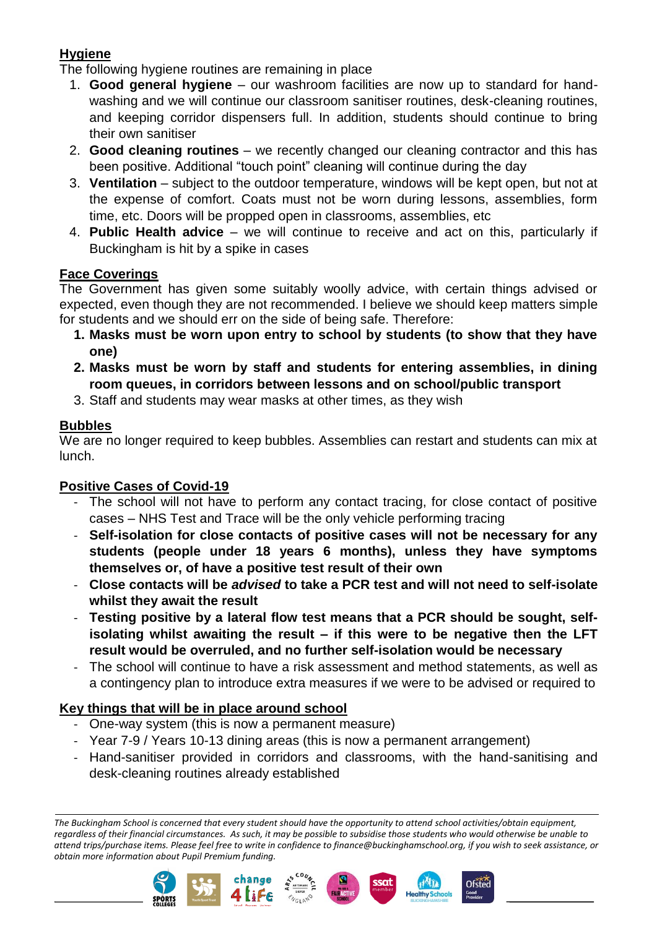## **Hygiene**

The following hygiene routines are remaining in place

- 1. **Good general hygiene** our washroom facilities are now up to standard for handwashing and we will continue our classroom sanitiser routines, desk-cleaning routines, and keeping corridor dispensers full. In addition, students should continue to bring their own sanitiser
- 2. **Good cleaning routines** we recently changed our cleaning contractor and this has been positive. Additional "touch point" cleaning will continue during the day
- 3. **Ventilation** subject to the outdoor temperature, windows will be kept open, but not at the expense of comfort. Coats must not be worn during lessons, assemblies, form time, etc. Doors will be propped open in classrooms, assemblies, etc
- 4. **Public Health advice** we will continue to receive and act on this, particularly if Buckingham is hit by a spike in cases

## **Face Coverings**

The Government has given some suitably woolly advice, with certain things advised or expected, even though they are not recommended. I believe we should keep matters simple for students and we should err on the side of being safe. Therefore:

- **1. Masks must be worn upon entry to school by students (to show that they have one)**
- **2. Masks must be worn by staff and students for entering assemblies, in dining room queues, in corridors between lessons and on school/public transport**
- 3. Staff and students may wear masks at other times, as they wish

## **Bubbles**

We are no longer required to keep bubbles. Assemblies can restart and students can mix at lunch.

## **Positive Cases of Covid-19**

- The school will not have to perform any contact tracing, for close contact of positive cases – NHS Test and Trace will be the only vehicle performing tracing
- **Self-isolation for close contacts of positive cases will not be necessary for any students (people under 18 years 6 months), unless they have symptoms themselves or, of have a positive test result of their own**
- **Close contacts will be** *advised* **to take a PCR test and will not need to self-isolate whilst they await the result**
- **Testing positive by a lateral flow test means that a PCR should be sought, selfisolating whilst awaiting the result – if this were to be negative then the LFT result would be overruled, and no further self-isolation would be necessary**
- The school will continue to have a risk assessment and method statements, as well as a contingency plan to introduce extra measures if we were to be advised or required to

## **Key things that will be in place around school**

- One-way system (this is now a permanent measure)
- Year 7-9 / Years 10-13 dining areas (this is now a permanent arrangement)
- Hand-sanitiser provided in corridors and classrooms, with the hand-sanitising and desk-cleaning routines already established

*The Buckingham School is concerned that every student should have the opportunity to attend school activities/obtain equipment, regardless of their financial circumstances. As such, it may be possible to subsidise those students who would otherwise be unable to attend trips/purchase items. Please feel free to write in confidence to finance@buckinghamschool.org, if you wish to seek assistance, or obtain more information about Pupil Premium funding.*